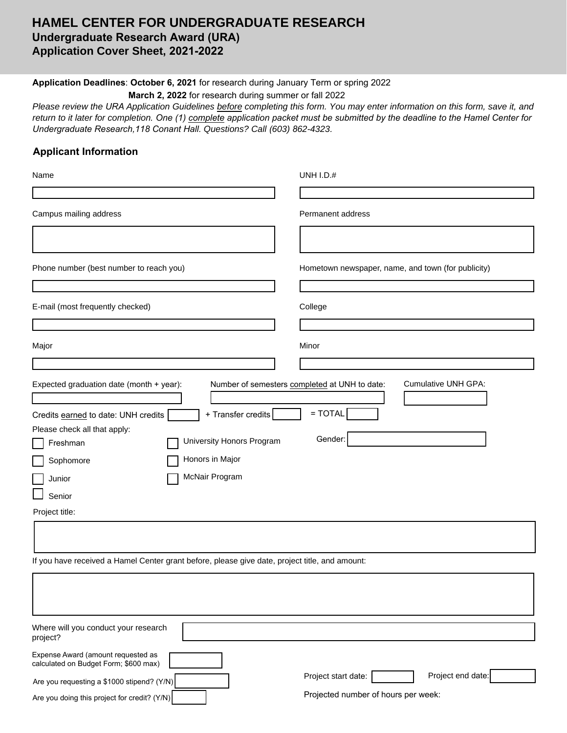# **HAMEL CENTER FOR UNDERGRADUATE RESEARCH Undergraduate Research Award (URA) Application Cover Sheet, 2021-2022**

## **Application Deadlines**: **October 6, 2021** for research during January Term or spring 2022

**March 2, 2022** for research during summer or fall 2022

*Please review the URA Application Guidelines before completing this form. You may enter information on this form, save it, and return to it later for completion. One (1) complete application packet must be submitted by the deadline to the Hamel Center for Undergraduate Research,118 Conant Hall. Questions? Call (603) 862-4323.*

#### **Applicant Information**

| Name                                                                                                                                                                                                                                                                   | <b>UNH I.D.#</b>                                                                                    |
|------------------------------------------------------------------------------------------------------------------------------------------------------------------------------------------------------------------------------------------------------------------------|-----------------------------------------------------------------------------------------------------|
|                                                                                                                                                                                                                                                                        |                                                                                                     |
| Campus mailing address                                                                                                                                                                                                                                                 | Permanent address                                                                                   |
|                                                                                                                                                                                                                                                                        |                                                                                                     |
| Phone number (best number to reach you)                                                                                                                                                                                                                                | Hometown newspaper, name, and town (for publicity)                                                  |
|                                                                                                                                                                                                                                                                        |                                                                                                     |
| E-mail (most frequently checked)                                                                                                                                                                                                                                       | College                                                                                             |
|                                                                                                                                                                                                                                                                        |                                                                                                     |
| Major                                                                                                                                                                                                                                                                  | Minor                                                                                               |
|                                                                                                                                                                                                                                                                        |                                                                                                     |
| Expected graduation date (month + year):<br>+ Transfer credits<br>Credits earned to date: UNH credits<br>Please check all that apply:<br>University Honors Program<br>Freshman<br>Honors in Major<br>Sophomore<br>McNair Program<br>Junior<br>Senior<br>Project title: | Number of semesters completed at UNH to date:<br><b>Cumulative UNH GPA:</b><br>$=$ TOTAL<br>Gender: |
|                                                                                                                                                                                                                                                                        |                                                                                                     |
|                                                                                                                                                                                                                                                                        |                                                                                                     |
| If you have received a Hamel Center grant before, please give date, project title, and amount:                                                                                                                                                                         |                                                                                                     |

| Where will you conduct your research<br>project?                            |                                          |
|-----------------------------------------------------------------------------|------------------------------------------|
| Expense Award (amount requested as<br>calculated on Budget Form; \$600 max) |                                          |
| Are you requesting a \$1000 stipend? (Y/N)                                  | Project end date:<br>Project start date: |
| Are you doing this project for credit? (Y/N)                                | Projected number of hours per week:      |